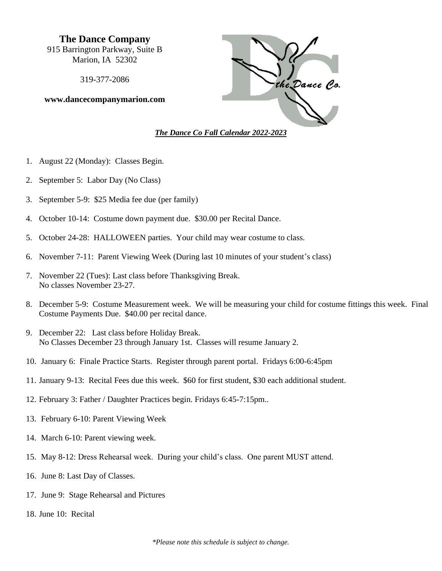**The Dance Company** 915 Barrington Parkway, Suite B Marion, IA 52302

319-377-2086

**www.dancecompanymarion.com**



- 1. August 22 (Monday): Classes Begin.
- 2. September 5: Labor Day (No Class)
- 3. September 5-9: \$25 Media fee due (per family)
- 4. October 10-14: Costume down payment due. \$30.00 per Recital Dance.
- 5. October 24-28: HALLOWEEN parties. Your child may wear costume to class.
- 6. November 7-11: Parent Viewing Week (During last 10 minutes of your student's class)
- 7. November 22 (Tues): Last class before Thanksgiving Break. No classes November 23-27.
- 8. December 5-9: Costume Measurement week. We will be measuring your child for costume fittings this week. Final Costume Payments Due. \$40.00 per recital dance.
- 9. December 22: Last class before Holiday Break. No Classes December 23 through January 1st. Classes will resume January 2.
- 10. January 6: Finale Practice Starts. Register through parent portal. Fridays 6:00-6:45pm
- 11. January 9-13: Recital Fees due this week. \$60 for first student, \$30 each additional student.
- 12. February 3: Father / Daughter Practices begin. Fridays 6:45-7:15pm..
- 13. February 6-10: Parent Viewing Week
- 14. March 6-10: Parent viewing week.
- 15. May 8-12: Dress Rehearsal week. During your child's class. One parent MUST attend.
- 16. June 8: Last Day of Classes.
- 17. June 9: Stage Rehearsal and Pictures
- 18. June 10: Recital